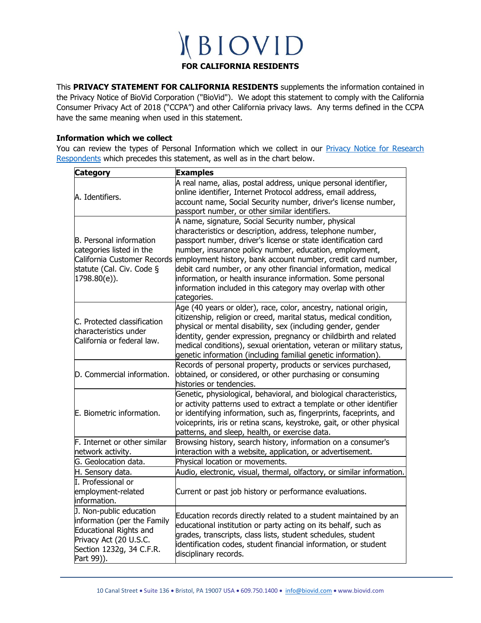#### **FOR CALIFORNIA RESIDENTS**

This **PRIVACY STATEMENT FOR CALIFORNIA RESIDENTS** supplements the information contained in the Privacy Notice of BioVid Corporation ("BioVid"). We adopt this statement to comply with the California Consumer Privacy Act of 2018 ("CCPA") and other California privacy laws. Any terms defined in the CCPA have the same meaning when used in this statement.

#### **Information which we collect**

You can review the types of Personal Information which we collect in our **Privacy Notice for Research** [Respondents](http://biovid.com/privacy_policy_respondents.html) which precedes this statement, as well as in the chart below.

| <b>Category</b>                                                                                                                                      | <b>Examples</b>                                                                                                                                                                                                                                                                                                                                                                                                                                                                                                                |
|------------------------------------------------------------------------------------------------------------------------------------------------------|--------------------------------------------------------------------------------------------------------------------------------------------------------------------------------------------------------------------------------------------------------------------------------------------------------------------------------------------------------------------------------------------------------------------------------------------------------------------------------------------------------------------------------|
| A. Identifiers.                                                                                                                                      | A real name, alias, postal address, unique personal identifier,<br>online identifier, Internet Protocol address, email address,<br>account name, Social Security number, driver's license number,<br>passport number, or other similar identifiers.                                                                                                                                                                                                                                                                            |
| B. Personal information<br>categories listed in the<br>California Customer Records<br>statute (Cal. Civ. Code §<br>$1798.80(e)$ ).                   | A name, signature, Social Security number, physical<br>characteristics or description, address, telephone number,<br>passport number, driver's license or state identification card<br>number, insurance policy number, education, employment,<br>employment history, bank account number, credit card number,<br>debit card number, or any other financial information, medical<br>information, or health insurance information. Some personal<br>information included in this category may overlap with other<br>categories. |
| IC. Protected classification<br>lcharacteristics under<br>California or federal law.                                                                 | Age (40 years or older), race, color, ancestry, national origin,<br>citizenship, religion or creed, marital status, medical condition,<br>physical or mental disability, sex (including gender, gender<br>identity, gender expression, pregnancy or childbirth and related<br>medical conditions), sexual orientation, veteran or military status,<br>genetic information (including familial genetic information).                                                                                                            |
| D. Commercial information.                                                                                                                           | Records of personal property, products or services purchased,<br>obtained, or considered, or other purchasing or consuming<br>histories or tendencies.                                                                                                                                                                                                                                                                                                                                                                         |
| E. Biometric information.                                                                                                                            | Genetic, physiological, behavioral, and biological characteristics,<br>or activity patterns used to extract a template or other identifier<br>or identifying information, such as, fingerprints, faceprints, and<br>voiceprints, iris or retina scans, keystroke, gait, or other physical<br>patterns, and sleep, health, or exercise data.                                                                                                                                                                                    |
| F. Internet or other similar<br>network activity.                                                                                                    | Browsing history, search history, information on a consumer's<br>interaction with a website, application, or advertisement.                                                                                                                                                                                                                                                                                                                                                                                                    |
| G. Geolocation data.                                                                                                                                 | Physical location or movements.                                                                                                                                                                                                                                                                                                                                                                                                                                                                                                |
| H. Sensory data.                                                                                                                                     | Audio, electronic, visual, thermal, olfactory, or similar information.                                                                                                                                                                                                                                                                                                                                                                                                                                                         |
| I. Professional or<br>employment-related<br>information.                                                                                             | Current or past job history or performance evaluations.                                                                                                                                                                                                                                                                                                                                                                                                                                                                        |
| J. Non-public education<br>information (per the Family<br>Educational Rights and<br>Privacy Act (20 U.S.C.<br>Section 1232g, 34 C.F.R.<br>Part 99)). | Education records directly related to a student maintained by an<br>educational institution or party acting on its behalf, such as<br>grades, transcripts, class lists, student schedules, student<br>identification codes, student financial information, or student<br>disciplinary records.                                                                                                                                                                                                                                 |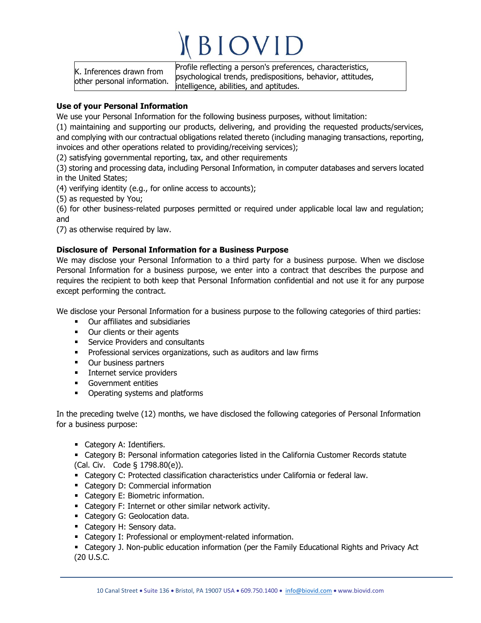K. Inferences drawn from other personal information. Profile reflecting a person's preferences, characteristics, psychological trends, predispositions, behavior, attitudes, intelligence, abilities, and aptitudes.

#### **Use of your Personal Information**

We use your Personal Information for the following business purposes, without limitation:

(1) maintaining and supporting our products, delivering, and providing the requested products/services, and complying with our contractual obligations related thereto (including managing transactions, reporting, invoices and other operations related to providing/receiving services);

(2) satisfying governmental reporting, tax, and other requirements

(3) storing and processing data, including Personal Information, in computer databases and servers located in the United States;

(4) verifying identity (e.g., for online access to accounts);

(5) as requested by You;

(6) for other business-related purposes permitted or required under applicable local law and regulation; and

(7) as otherwise required by law.

#### **Disclosure of Personal Information for a Business Purpose**

We may disclose your Personal Information to a third party for a business purpose. When we disclose Personal Information for a business purpose, we enter into a contract that describes the purpose and requires the recipient to both keep that Personal Information confidential and not use it for any purpose except performing the contract.

We disclose your Personal Information for a business purpose to the following categories of third parties:

- Our affiliates and subsidiaries
- **•** Our clients or their agents
- **Service Providers and consultants**
- a co Professional services organizations, such as auditors and law firms
- **•** Our business partners
- **Internet service providers**
- Government entities
- Operating systems and platforms

In the preceding twelve (12) months, we have disclosed the following categories of Personal Information for a business purpose:

- **Category A: Identifiers.**
- Category B: Personal information categories listed in the California Customer Records statute (Cal. Civ. Code § 1798.80(e)).
- Category C: Protected classification characteristics under California or federal law.
- **Category D: Commercial information**
- Category E: Biometric information.
- Category F: Internet or other similar network activity.
- **Category G: Geolocation data.**
- **Category H: Sensory data.**
- **EXEC** Category I: Professional or employment-related information.
- Category J. Non-public education information (per the Family Educational Rights and Privacy Act (20 U.S.C.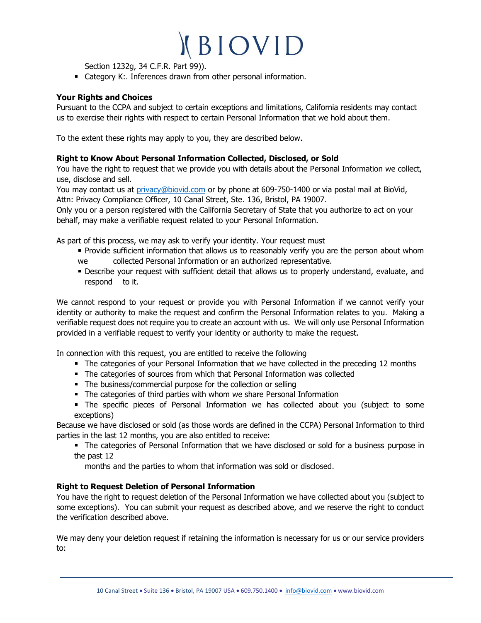Section 1232g, 34 C.F.R. Part 99)).

Category K:. Inferences drawn from other personal information.

#### **Your Rights and Choices**

Pursuant to the CCPA and subject to certain exceptions and limitations, California residents may contact us to exercise their rights with respect to certain Personal Information that we hold about them.

To the extent these rights may apply to you, they are described below.

#### **Right to Know About Personal Information Collected, Disclosed, or Sold**

You have the right to request that we provide you with details about the Personal Information we collect, use, disclose and sell.

You may contact us at [privacy@biovid.com](mailto:privacy@biovid.com) or by phone at 609-750-1400 or via postal mail at BioVid, Attn: Privacy Compliance Officer, 10 Canal Street, Ste. 136, Bristol, PA 19007.

Only you or a person registered with the California Secretary of State that you authorize to act on your behalf, may make a verifiable request related to your Personal Information.

As part of this process, we may ask to verify your identity. Your request must

- **Provide sufficient information that allows us to reasonably verify you are the person about whom** we collected Personal Information or an authorized representative.
- Describe your request with sufficient detail that allows us to properly understand, evaluate, and respond to it.

We cannot respond to your request or provide you with Personal Information if we cannot verify your identity or authority to make the request and confirm the Personal Information relates to you. Making a verifiable request does not require you to create an account with us. We will only use Personal Information provided in a verifiable request to verify your identity or authority to make the request.

In connection with this request, you are entitled to receive the following

- The categories of your Personal Information that we have collected in the preceding 12 months
- The categories of sources from which that Personal Information was collected
- The business/commercial purpose for the collection or selling
- The categories of third parties with whom we share Personal Information
- The specific pieces of Personal Information we has collected about you (subject to some exceptions)

Because we have disclosed or sold (as those words are defined in the CCPA) Personal Information to third parties in the last 12 months, you are also entitled to receive:

• The categories of Personal Information that we have disclosed or sold for a business purpose in the past 12

months and the parties to whom that information was sold or disclosed.

#### **Right to Request Deletion of Personal Information**

You have the right to request deletion of the Personal Information we have collected about you (subject to some exceptions). You can submit your request as described above, and we reserve the right to conduct the verification described above.

We may deny your deletion request if retaining the information is necessary for us or our service providers to: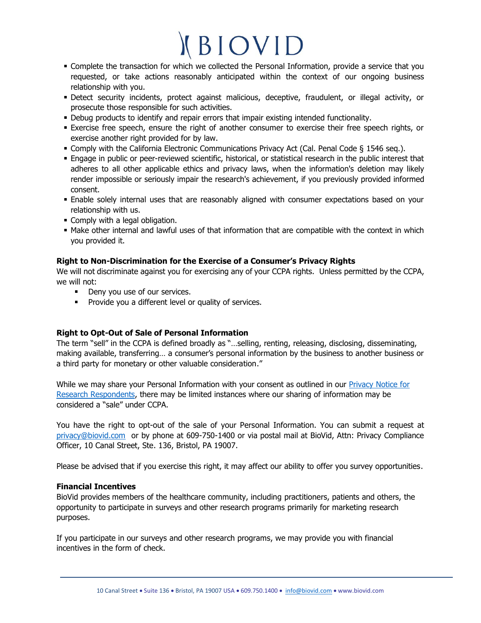- Complete the transaction for which we collected the Personal Information, provide a service that you requested, or take actions reasonably anticipated within the context of our ongoing business relationship with you.
- Detect security incidents, protect against malicious, deceptive, fraudulent, or illegal activity, or prosecute those responsible for such activities.
- Debug products to identify and repair errors that impair existing intended functionality.
- **Exercise free speech, ensure the right of another consumer to exercise their free speech rights, or** exercise another right provided for by law.
- Comply with the California Electronic Communications Privacy Act (Cal. Penal Code § 1546 seq.).
- Engage in public or peer-reviewed scientific, historical, or statistical research in the public interest that adheres to all other applicable ethics and privacy laws, when the information's deletion may likely render impossible or seriously impair the research's achievement, if you previously provided informed consent.
- Enable solely internal uses that are reasonably aligned with consumer expectations based on your relationship with us.
- **Comply with a legal obligation.**
- Make other internal and lawful uses of that information that are compatible with the context in which you provided it.

#### **Right to Non-Discrimination for the Exercise of a Consumer's Privacy Rights**

We will not discriminate against you for exercising any of your CCPA rights. Unless permitted by the CCPA, we will not:

- Deny you use of our services.
- **Provide you a different level or quality of services.**

#### **Right to Opt-Out of Sale of Personal Information**

The term "sell" in the CCPA is defined broadly as "…selling, renting, releasing, disclosing, disseminating, making available, transferring… a consumer's personal information by the business to another business or a third party for monetary or other valuable consideration."

While we may share your Personal Information with your consent as outlined in our **Privacy Notice for** [Research Respondents,](http://biovid.com/privacy_policy_respondents.html) there may be limited instances where our sharing of information may be considered a "sale" under CCPA.

You have the right to opt-out of the sale of your Personal Information. You can submit a request at [privacy@biovid.com](mailto:privacy@biovid.com) or by phone at 609-750-1400 or via postal mail at BioVid, Attn: Privacy Compliance Officer, 10 Canal Street, Ste. 136, Bristol, PA 19007.

Please be advised that if you exercise this right, it may affect our ability to offer you survey opportunities.

#### **Financial Incentives**

BioVid provides members of the healthcare community, including practitioners, patients and others, the opportunity to participate in surveys and other research programs primarily for marketing research purposes.

If you participate in our surveys and other research programs, we may provide you with financial incentives in the form of check.